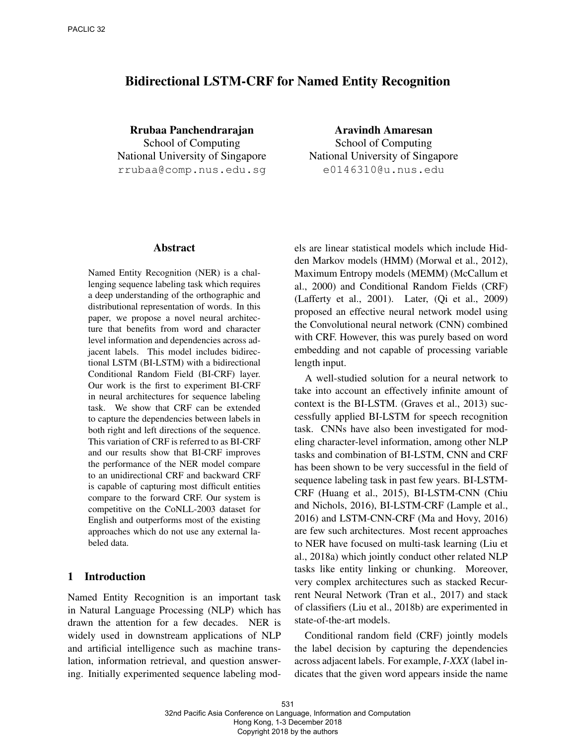# Bidirectional LSTM-CRF for Named Entity Recognition

Rrubaa Panchendrarajan School of Computing National University of Singapore rrubaa@comp.nus.edu.sg

Aravindh Amaresan School of Computing National University of Singapore e0146310@u.nus.edu

# Abstract

Named Entity Recognition (NER) is a challenging sequence labeling task which requires a deep understanding of the orthographic and distributional representation of words. In this paper, we propose a novel neural architecture that benefits from word and character level information and dependencies across adjacent labels. This model includes bidirectional LSTM (BI-LSTM) with a bidirectional Conditional Random Field (BI-CRF) layer. Our work is the first to experiment BI-CRF in neural architectures for sequence labeling task. We show that CRF can be extended to capture the dependencies between labels in both right and left directions of the sequence. This variation of CRF is referred to as BI-CRF and our results show that BI-CRF improves the performance of the NER model compare to an unidirectional CRF and backward CRF is capable of capturing most difficult entities compare to the forward CRF. Our system is competitive on the CoNLL-2003 dataset for English and outperforms most of the existing approaches which do not use any external labeled data.

# 1 Introduction

Named Entity Recognition is an important task in Natural Language Processing (NLP) which has drawn the attention for a few decades. NER is widely used in downstream applications of NLP and artificial intelligence such as machine translation, information retrieval, and question answering. Initially experimented sequence labeling models are linear statistical models which include Hidden Markov models (HMM) (Morwal et al., 2012), Maximum Entropy models (MEMM) (McCallum et al., 2000) and Conditional Random Fields (CRF) (Lafferty et al., 2001). Later, (Qi et al., 2009) proposed an effective neural network model using the Convolutional neural network (CNN) combined with CRF. However, this was purely based on word embedding and not capable of processing variable length input.

A well-studied solution for a neural network to take into account an effectively infinite amount of context is the BI-LSTM. (Graves et al., 2013) successfully applied BI-LSTM for speech recognition task. CNNs have also been investigated for modeling character-level information, among other NLP tasks and combination of BI-LSTM, CNN and CRF has been shown to be very successful in the field of sequence labeling task in past few years. BI-LSTM-CRF (Huang et al., 2015), BI-LSTM-CNN (Chiu and Nichols, 2016), BI-LSTM-CRF (Lample et al., 2016) and LSTM-CNN-CRF (Ma and Hovy, 2016) are few such architectures. Most recent approaches to NER have focused on multi-task learning (Liu et al., 2018a) which jointly conduct other related NLP tasks like entity linking or chunking. Moreover, very complex architectures such as stacked Recurrent Neural Network (Tran et al., 2017) and stack of classifiers (Liu et al., 2018b) are experimented in state-of-the-art models.

Conditional random field (CRF) jointly models the label decision by capturing the dependencies across adjacent labels. For example, *I-XXX* (label indicates that the given word appears inside the name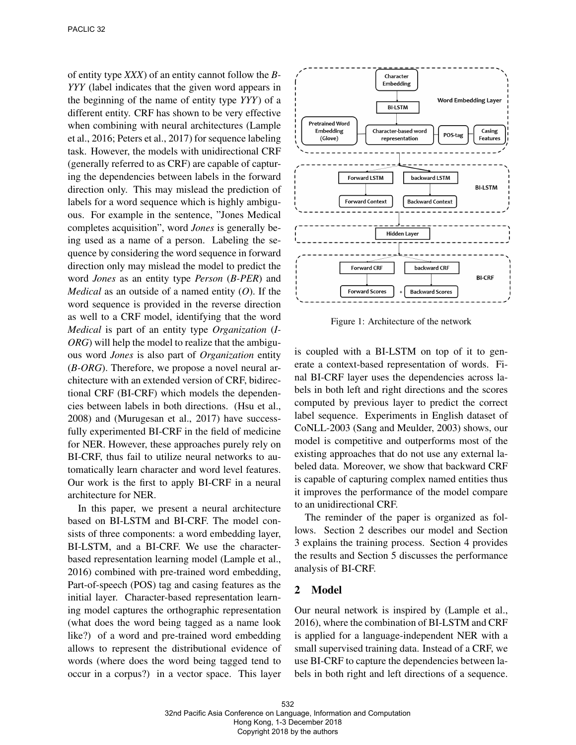of entity type *XXX*) of an entity cannot follow the *B-YYY* (label indicates that the given word appears in the beginning of the name of entity type *YYY*) of a different entity. CRF has shown to be very effective when combining with neural architectures (Lample et al., 2016; Peters et al., 2017) for sequence labeling task. However, the models with unidirectional CRF (generally referred to as CRF) are capable of capturing the dependencies between labels in the forward direction only. This may mislead the prediction of labels for a word sequence which is highly ambiguous. For example in the sentence, "Jones Medical completes acquisition", word *Jones* is generally being used as a name of a person. Labeling the sequence by considering the word sequence in forward direction only may mislead the model to predict the word *Jones* as an entity type *Person* (*B-PER*) and *Medical* as an outside of a named entity (*O*). If the word sequence is provided in the reverse direction as well to a CRF model, identifying that the word *Medical* is part of an entity type *Organization* (*I-ORG*) will help the model to realize that the ambiguous word *Jones* is also part of *Organization* entity (*B-ORG*). Therefore, we propose a novel neural architecture with an extended version of CRF, bidirectional CRF (BI-CRF) which models the dependencies between labels in both directions. (Hsu et al., 2008) and (Murugesan et al., 2017) have successfully experimented BI-CRF in the field of medicine for NER. However, these approaches purely rely on BI-CRF, thus fail to utilize neural networks to automatically learn character and word level features. Our work is the first to apply BI-CRF in a neural architecture for NER.

In this paper, we present a neural architecture based on BI-LSTM and BI-CRF. The model consists of three components: a word embedding layer, BI-LSTM, and a BI-CRF. We use the characterbased representation learning model (Lample et al., 2016) combined with pre-trained word embedding, Part-of-speech (POS) tag and casing features as the initial layer. Character-based representation learning model captures the orthographic representation (what does the word being tagged as a name look like?) of a word and pre-trained word embedding allows to represent the distributional evidence of words (where does the word being tagged tend to occur in a corpus?) in a vector space. This layer



Figure 1: Architecture of the network

is coupled with a BI-LSTM on top of it to generate a context-based representation of words. Final BI-CRF layer uses the dependencies across labels in both left and right directions and the scores computed by previous layer to predict the correct label sequence. Experiments in English dataset of CoNLL-2003 (Sang and Meulder, 2003) shows, our model is competitive and outperforms most of the existing approaches that do not use any external labeled data. Moreover, we show that backward CRF is capable of capturing complex named entities thus it improves the performance of the model compare to an unidirectional CRF.

The reminder of the paper is organized as follows. Section 2 describes our model and Section 3 explains the training process. Section 4 provides the results and Section 5 discusses the performance analysis of BI-CRF.

### 2 Model

Our neural network is inspired by (Lample et al., 2016), where the combination of BI-LSTM and CRF is applied for a language-independent NER with a small supervised training data. Instead of a CRF, we use BI-CRF to capture the dependencies between labels in both right and left directions of a sequence.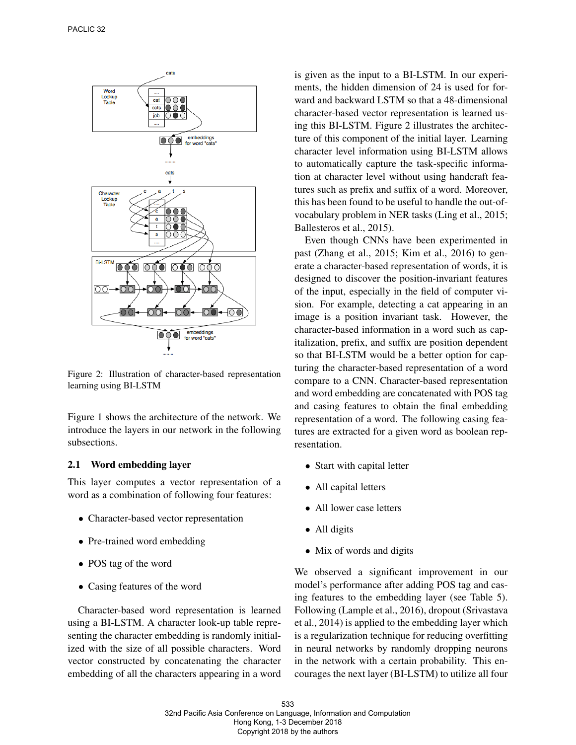

Figure 2: Illustration of character-based representation learning using BI-LSTM

Figure 1 shows the architecture of the network. We introduce the layers in our network in the following subsections.

## 2.1 Word embedding layer

This layer computes a vector representation of a word as a combination of following four features:

- Character-based vector representation
- Pre-trained word embedding
- POS tag of the word
- Casing features of the word

Character-based word representation is learned using a BI-LSTM. A character look-up table representing the character embedding is randomly initialized with the size of all possible characters. Word vector constructed by concatenating the character embedding of all the characters appearing in a word

is given as the input to a BI-LSTM. In our experiments, the hidden dimension of 24 is used for forward and backward LSTM so that a 48-dimensional character-based vector representation is learned using this BI-LSTM. Figure 2 illustrates the architecture of this component of the initial layer. Learning character level information using BI-LSTM allows to automatically capture the task-specific information at character level without using handcraft features such as prefix and suffix of a word. Moreover, this has been found to be useful to handle the out-ofvocabulary problem in NER tasks (Ling et al., 2015; Ballesteros et al., 2015).

Even though CNNs have been experimented in past (Zhang et al., 2015; Kim et al., 2016) to generate a character-based representation of words, it is designed to discover the position-invariant features of the input, especially in the field of computer vision. For example, detecting a cat appearing in an image is a position invariant task. However, the character-based information in a word such as capitalization, prefix, and suffix are position dependent so that BI-LSTM would be a better option for capturing the character-based representation of a word compare to a CNN. Character-based representation and word embedding are concatenated with POS tag and casing features to obtain the final embedding representation of a word. The following casing features are extracted for a given word as boolean representation.

- Start with capital letter
- All capital letters
- All lower case letters
- All digits
- Mix of words and digits

We observed a significant improvement in our model's performance after adding POS tag and casing features to the embedding layer (see Table 5). Following (Lample et al., 2016), dropout (Srivastava et al., 2014) is applied to the embedding layer which is a regularization technique for reducing overfitting in neural networks by randomly dropping neurons in the network with a certain probability. This encourages the next layer (BI-LSTM) to utilize all four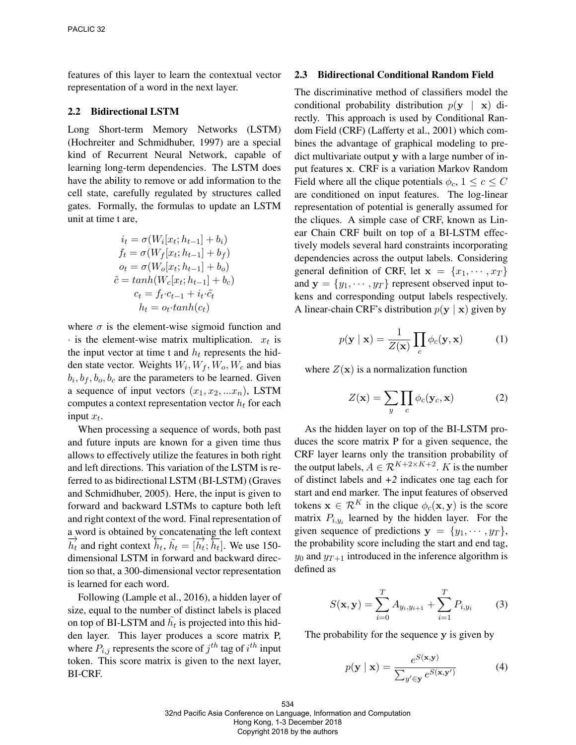features of this layer to learn the contextual vector representation of a word in the next layer.

### 2.2 Bidirectional LSTM

Long Short-term Memory Networks (LSTM) (Hochreiter and Schmidhuber, 1997) are a special kind of Recurrent Neural Network, capable of learning long-term dependencies. The LSTM does have the ability to remove or add information to the cell state, carefully regulated by structures called gates. Formally, the formulas to update an LSTM unit at time t are,

$$
i_t = \sigma(W_i[x_t; h_{t-1}] + b_i)
$$
  
\n
$$
f_t = \sigma(W_f[x_t; h_{t-1}] + b_f)
$$
  
\n
$$
o_t = \sigma(W_o[x_t; h_{t-1}] + b_o)
$$
  
\n
$$
\tilde{c} = tanh(W_c[x_t; h_{t-1}] + b_c)
$$
  
\n
$$
c_t = f_t \cdot c_{t-1} + i_t \cdot \tilde{c}_t
$$
  
\n
$$
h_t = o_t \cdot tanh(c_t)
$$

where  $\sigma$  is the element-wise sigmoid function and  $\cdot$  is the element-wise matrix multiplication.  $x_t$  is the input vector at time t and  $h_t$  represents the hidden state vector. Weights  $W_i, W_f, W_o, W_c$  and bias  $b_i, b_f, b_o, b_c$  are the parameters to be learned. Given a sequence of input vectors  $(x_1, x_2, ... x_n)$ , LSTM computes a context representation vector  $h_t$  for each input  $x_t$ .

When processing a sequence of words, both past and future inputs are known for a given time thus allows to effectively utilize the features in both right and left directions. This variation of the LSTM is referred to as bidirectional LSTM (BI-LSTM) (Graves and Schmidhuber, 2005). Here, the input is given to forward and backward LSTMs to capture both left and right context of the word. Final representation of a word is obtained by concatenating the left context  $\overrightarrow{h_t}$  and right context  $\overrightarrow{h_t}$ ,  $\overrightarrow{h_t} = [\overrightarrow{h_t}; \overrightarrow{h_t}]$ . We use 150dimensional LSTM in forward and backward direction so that, a 300-dimensional vector representation is learned for each word.

Following (Lample et al., 2016), a hidden layer of size, equal to the number of distinct labels is placed on top of BI-LSTM and  $\tilde{h}_t$  is projected into this hidden layer. This layer produces a score matrix P, where  $P_{i,j}$  represents the score of  $j^{th}$  tag of  $i^{th}$  input token. This score matrix is given to the next layer, BI-CRF.

#### 2.3 Bidirectional Conditional Random Field

The discriminative method of classifiers model the conditional probability distribution  $p(\mathbf{y} | \mathbf{x})$  directly. This approach is used by Conditional Random Field (CRF) (Lafferty et al., 2001) which combines the advantage of graphical modeling to predict multivariate output y with a large number of input features x. CRF is a variation Markov Random Field where all the clique potentials  $\phi_c$ ,  $1 \leq c \leq C$ are conditioned on input features. The log-linear representation of potential is generally assumed for the cliques. A simple case of CRF, known as Linear Chain CRF built on top of a BI-LSTM effectively models several hard constraints incorporating dependencies across the output labels. Considering general definition of CRF, let  $\mathbf{x} = \{x_1, \dots, x_T\}$ and  $y = \{y_1, \dots, y_T\}$  represent observed input tokens and corresponding output labels respectively. A linear-chain CRF's distribution  $p(y | x)$  given by

$$
p(\mathbf{y} \mid \mathbf{x}) = \frac{1}{Z(\mathbf{x})} \prod_{c} \phi_c(\mathbf{y}, \mathbf{x}) \tag{1}
$$

where  $Z(\mathbf{x})$  is a normalization function

$$
Z(\mathbf{x}) = \sum_{y} \prod_{c} \phi_c(\mathbf{y}_c, \mathbf{x})
$$
 (2)

As the hidden layer on top of the BI-LSTM produces the score matrix P for a given sequence, the CRF layer learns only the transition probability of the output labels,  $A \in \mathcal{R}^{K+2\times K+2}$ . K is the number of distinct labels and *+2* indicates one tag each for start and end marker. The input features of observed tokens  $\mathbf{x} \in \mathcal{R}^K$  in the clique  $\phi_c(\mathbf{x}, \mathbf{y})$  is the score matrix  $P_{i,y_i}$  learned by the hidden layer. For the given sequence of predictions  $y = \{y_1, \dots, y_T\},\$ the probability score including the start and end tag,  $y_0$  and  $y_{T+1}$  introduced in the inference algorithm is defined as

$$
S(\mathbf{x}, \mathbf{y}) = \sum_{i=0}^{T} A_{y_i, y_{i+1}} + \sum_{i=1}^{T} P_{i, y_i}
$$
 (3)

The probability for the sequence y is given by

$$
p(\mathbf{y} \mid \mathbf{x}) = \frac{e^{S(\mathbf{x}, \mathbf{y})}}{\sum_{y' \in \mathbf{y}} e^{S(\mathbf{x}, \mathbf{y'})}}
$$
(4)

534 32nd Pacific Asia Conference on Language, Information and Computation Hong Kong, 1-3 December 2018 Copyright 2018 by the authors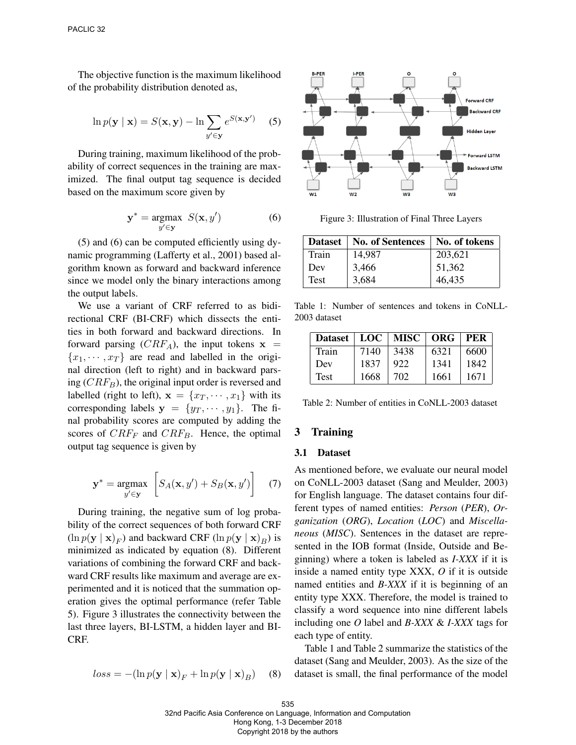The objective function is the maximum likelihood of the probability distribution denoted as,

$$
\ln p(\mathbf{y} \mid \mathbf{x}) = S(\mathbf{x}, \mathbf{y}) - \ln \sum_{y' \in \mathbf{y}} e^{S(\mathbf{x}, \mathbf{y}')} \quad (5)
$$

During training, maximum likelihood of the probability of correct sequences in the training are maximized. The final output tag sequence is decided based on the maximum score given by

$$
\mathbf{y}^* = \underset{y' \in \mathbf{y}}{\text{argmax}} \ S(\mathbf{x}, y') \tag{6}
$$

(5) and (6) can be computed efficiently using dynamic programming (Lafferty et al., 2001) based algorithm known as forward and backward inference since we model only the binary interactions among the output labels.

We use a variant of CRF referred to as bidirectional CRF (BI-CRF) which dissects the entities in both forward and backward directions. In forward parsing  $(CRF_A)$ , the input tokens  $x =$  ${x_1, \dots, x_T}$  are read and labelled in the original direction (left to right) and in backward parsing  $(CRF_B)$ , the original input order is reversed and labelled (right to left),  $\mathbf{x} = \{x_T, \dots, x_1\}$  with its corresponding labels  $y = \{y_T, \dots, y_1\}$ . The final probability scores are computed by adding the scores of  $CRF_F$  and  $CRF_B$ . Hence, the optimal output tag sequence is given by

$$
\mathbf{y}^* = \underset{y' \in \mathbf{y}}{\operatorname{argmax}} \left[ S_A(\mathbf{x}, y') + S_B(\mathbf{x}, y') \right] \quad (7)
$$

During training, the negative sum of log probability of the correct sequences of both forward CRF  $(\ln p(\mathbf{y} \mid \mathbf{x})_F)$  and backward CRF  $(\ln p(\mathbf{y} \mid \mathbf{x})_B)$  is minimized as indicated by equation (8). Different variations of combining the forward CRF and backward CRF results like maximum and average are experimented and it is noticed that the summation operation gives the optimal performance (refer Table 5). Figure 3 illustrates the connectivity between the last three layers, BI-LSTM, a hidden layer and BI-CRF.

$$
loss = -(\ln p(\mathbf{y} \mid \mathbf{x})_F + \ln p(\mathbf{y} \mid \mathbf{x})_B)
$$
 (8)



Figure 3: Illustration of Final Three Layers

| Dataset | <b>No. of Sentences</b> | No. of tokens |
|---------|-------------------------|---------------|
| Train   | 14.987                  | 203,621       |
| Dev     | 3,466                   | 51,362        |
| Test    | 3,684                   | 46,435        |

Table 1: Number of sentences and tokens in CoNLL-2003 dataset

| <b>Dataset</b> | LOC  | MISC   ORG |      | PER  |
|----------------|------|------------|------|------|
| Train          | 7140 | 3438       | 6321 | 6600 |
| Dev            | 1837 | 922        | 1341 | 1842 |
| Test           | 1668 | 702        | 1661 | 1671 |

Table 2: Number of entities in CoNLL-2003 dataset

#### 3 Training

#### 3.1 Dataset

As mentioned before, we evaluate our neural model on CoNLL-2003 dataset (Sang and Meulder, 2003) for English language. The dataset contains four different types of named entities: *Person* (*PER*), *Organization* (*ORG*), *Location* (*LOC*) and *Miscellaneous* (*MISC*). Sentences in the dataset are represented in the IOB format (Inside, Outside and Beginning) where a token is labeled as *I-XXX* if it is inside a named entity type XXX, *O* if it is outside named entities and *B-XXX* if it is beginning of an entity type XXX. Therefore, the model is trained to classify a word sequence into nine different labels including one *O* label and *B-XXX* & *I-XXX* tags for each type of entity.

Table 1 and Table 2 summarize the statistics of the dataset (Sang and Meulder, 2003). As the size of the dataset is small, the final performance of the model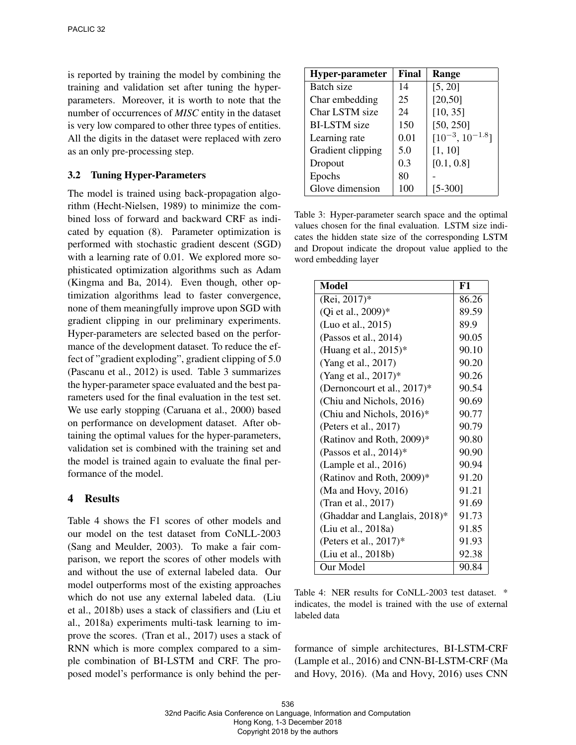is reported by training the model by combining the training and validation set after tuning the hyperparameters. Moreover, it is worth to note that the number of occurrences of *MISC* entity in the dataset is very low compared to other three types of entities. All the digits in the dataset were replaced with zero as an only pre-processing step.

### 3.2 Tuning Hyper-Parameters

The model is trained using back-propagation algorithm (Hecht-Nielsen, 1989) to minimize the combined loss of forward and backward CRF as indicated by equation (8). Parameter optimization is performed with stochastic gradient descent (SGD) with a learning rate of 0.01. We explored more sophisticated optimization algorithms such as Adam (Kingma and Ba, 2014). Even though, other optimization algorithms lead to faster convergence, none of them meaningfully improve upon SGD with gradient clipping in our preliminary experiments. Hyper-parameters are selected based on the performance of the development dataset. To reduce the effect of "gradient exploding", gradient clipping of 5.0 (Pascanu et al., 2012) is used. Table 3 summarizes the hyper-parameter space evaluated and the best parameters used for the final evaluation in the test set. We use early stopping (Caruana et al., 2000) based on performance on development dataset. After obtaining the optimal values for the hyper-parameters, validation set is combined with the training set and the model is trained again to evaluate the final performance of the model.

### 4 Results

Table 4 shows the F1 scores of other models and our model on the test dataset from CoNLL-2003 (Sang and Meulder, 2003). To make a fair comparison, we report the scores of other models with and without the use of external labeled data. Our model outperforms most of the existing approaches which do not use any external labeled data. (Liu et al., 2018b) uses a stack of classifiers and (Liu et al., 2018a) experiments multi-task learning to improve the scores. (Tran et al., 2017) uses a stack of RNN which is more complex compared to a simple combination of BI-LSTM and CRF. The proposed model's performance is only behind the per-

| <b>Hyper-parameter</b> | Final | Range                  |
|------------------------|-------|------------------------|
| Batch size             | 14    | [5, 20]                |
| Char embedding         | 25    | [20, 50]               |
| Char LSTM size         | 24    | [10, 35]               |
| <b>BI-LSTM</b> size    | 150   | [50, 250]              |
| Learning rate          | 0.01  | $[10^{-3}, 10^{-1.8}]$ |
| Gradient clipping      | 5.0   | [1, 10]                |
| Dropout                | 0.3   | [0.1, 0.8]             |
| Epochs                 | 80    |                        |
| Glove dimension        | 100   | $[5 - 300]$            |

Table 3: Hyper-parameter search space and the optimal values chosen for the final evaluation. LSTM size indicates the hidden state size of the corresponding LSTM and Dropout indicate the dropout value applied to the word embedding layer

| <b>Model</b>                  | F1    |
|-------------------------------|-------|
| (Rei, 2017)*                  | 86.26 |
| (Qi et al., 2009)*            | 89.59 |
| (Luo et al., 2015)            | 89.9  |
| (Passos et al., 2014)         | 90.05 |
| (Huang et al., $2015$ )*      | 90.10 |
| (Yang et al., 2017)           | 90.20 |
| (Yang et al., 2017)*          | 90.26 |
| (Dernoncourt et al., 2017)*   | 90.54 |
| (Chiu and Nichols, 2016)      | 90.69 |
| (Chiu and Nichols, 2016)*     | 90.77 |
| (Peters et al., 2017)         | 90.79 |
| (Ratinov and Roth, 2009)*     | 90.80 |
| (Passos et al., $2014$ )*     | 90.90 |
| (Lample et al., 2016)         | 90.94 |
| (Ratinov and Roth, 2009)*     | 91.20 |
| (Ma and Hovy, 2016)           | 91.21 |
| (Tran et al., 2017)           | 91.69 |
| (Ghaddar and Langlais, 2018)* | 91.73 |
| (Liu et al., 2018a)           | 91.85 |
| (Peters et al., $2017$ )*     | 91.93 |
| (Liu et al., 2018b)           | 92.38 |
| Our Model                     | 90.84 |

Table 4: NER results for CoNLL-2003 test dataset. \* indicates, the model is trained with the use of external labeled data

formance of simple architectures, BI-LSTM-CRF (Lample et al., 2016) and CNN-BI-LSTM-CRF (Ma and Hovy, 2016). (Ma and Hovy, 2016) uses CNN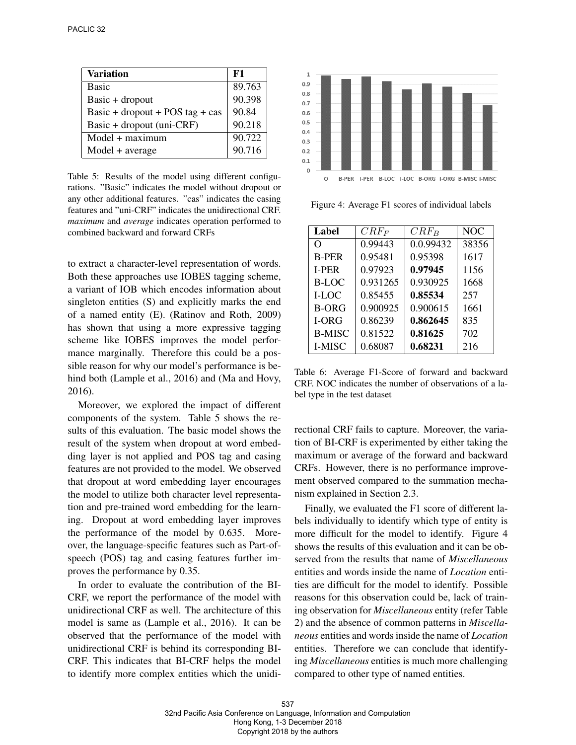| <b>Variation</b>                | F1     |
|---------------------------------|--------|
| <b>Basic</b>                    | 89.763 |
| $Basic + dropout$               | 90.398 |
| Basic + dropout + POS tag + cas | 90.84  |
| Basic + dropout (uni-CRF)       | 90.218 |
| $Model + maximum$               | 90.722 |
| $Model + average$               | 90.716 |

Table 5: Results of the model using different configurations. "Basic" indicates the model without dropout or any other additional features. "cas" indicates the casing features and "uni-CRF" indicates the unidirectional CRF. *maximum* and *average* indicates operation performed to combined backward and forward CRFs

to extract a character-level representation of words. Both these approaches use IOBES tagging scheme, a variant of IOB which encodes information about singleton entities (S) and explicitly marks the end of a named entity (E). (Ratinov and Roth, 2009) has shown that using a more expressive tagging scheme like IOBES improves the model performance marginally. Therefore this could be a possible reason for why our model's performance is behind both (Lample et al., 2016) and (Ma and Hovy, 2016).

Moreover, we explored the impact of different components of the system. Table 5 shows the results of this evaluation. The basic model shows the result of the system when dropout at word embedding layer is not applied and POS tag and casing features are not provided to the model. We observed that dropout at word embedding layer encourages the model to utilize both character level representation and pre-trained word embedding for the learning. Dropout at word embedding layer improves the performance of the model by 0.635. Moreover, the language-specific features such as Part-ofspeech (POS) tag and casing features further improves the performance by 0.35.

In order to evaluate the contribution of the BI-CRF, we report the performance of the model with unidirectional CRF as well. The architecture of this model is same as (Lample et al., 2016). It can be observed that the performance of the model with unidirectional CRF is behind its corresponding BI-CRF. This indicates that BI-CRF helps the model to identify more complex entities which the unidi-



Figure 4: Average F1 scores of individual labels

| Label         | $CRF_F$  | $CRF_B$   | <b>NOC</b> |
|---------------|----------|-----------|------------|
| O             | 0.99443  | 0.0.99432 | 38356      |
| <b>B-PER</b>  | 0.95481  | 0.95398   | 1617       |
| <b>I-PER</b>  | 0.97923  | 0.97945   | 1156       |
| <b>B-LOC</b>  | 0.931265 | 0.930925  | 1668       |
| I-LOC         | 0.85455  | 0.85534   | 257        |
| <b>B-ORG</b>  | 0.900925 | 0.900615  | 1661       |
| <b>I-ORG</b>  | 0.86239  | 0.862645  | 835        |
| <b>B-MISC</b> | 0.81522  | 0.81625   | 702        |
| I-MISC        | 0.68087  | 0.68231   | 216        |

Table 6: Average F1-Score of forward and backward CRF. NOC indicates the number of observations of a label type in the test dataset

rectional CRF fails to capture. Moreover, the variation of BI-CRF is experimented by either taking the maximum or average of the forward and backward CRFs. However, there is no performance improvement observed compared to the summation mechanism explained in Section 2.3.

Finally, we evaluated the F1 score of different labels individually to identify which type of entity is more difficult for the model to identify. Figure 4 shows the results of this evaluation and it can be observed from the results that name of *Miscellaneous* entities and words inside the name of *Location* entities are difficult for the model to identify. Possible reasons for this observation could be, lack of training observation for *Miscellaneous* entity (refer Table 2) and the absence of common patterns in *Miscellaneous* entities and words inside the name of *Location* entities. Therefore we can conclude that identifying *Miscellaneous* entities is much more challenging compared to other type of named entities.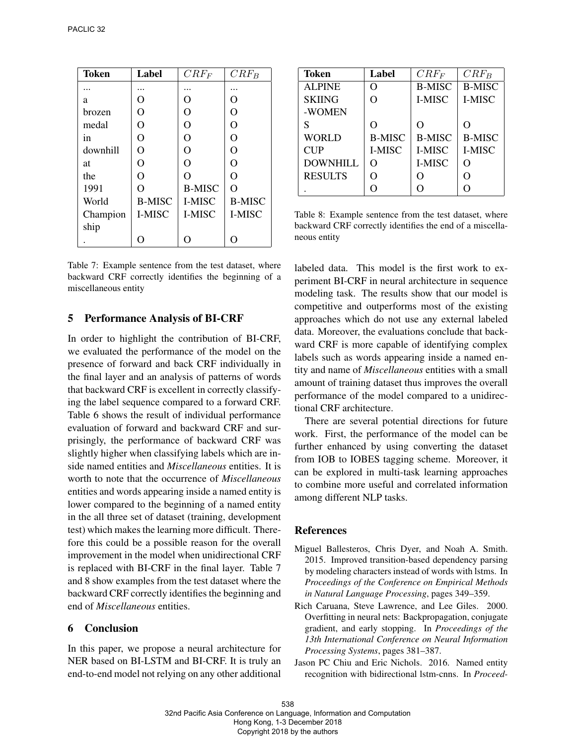| <b>Token</b> | Label         | $CRF_F$        | $CRF_B$        |
|--------------|---------------|----------------|----------------|
|              |               |                |                |
| a            | O             | O              | O              |
| brozen       | O             | O              | O              |
| medal        | O             | $\overline{O}$ | O              |
| in           | $\Omega$      | O              | O              |
| downhill     | O             | O              | O              |
| at           | O             | $\overline{O}$ | $\overline{O}$ |
| the          | O             | $\Omega$       | $\overline{O}$ |
| 1991         | $\Omega$      | <b>B-MISC</b>  | $\Omega$       |
| World        | <b>B-MISC</b> | I-MISC         | <b>B-MISC</b>  |
| Champion     | I-MISC        | I-MISC         | I-MISC         |
| ship         |               |                |                |
|              | ∩             | ∩              | ∩              |

Table 7: Example sentence from the test dataset, where backward CRF correctly identifies the beginning of a miscellaneous entity

### 5 Performance Analysis of BI-CRF

In order to highlight the contribution of BI-CRF, we evaluated the performance of the model on the presence of forward and back CRF individually in the final layer and an analysis of patterns of words that backward CRF is excellent in correctly classifying the label sequence compared to a forward CRF. Table 6 shows the result of individual performance evaluation of forward and backward CRF and surprisingly, the performance of backward CRF was slightly higher when classifying labels which are inside named entities and *Miscellaneous* entities. It is worth to note that the occurrence of *Miscellaneous* entities and words appearing inside a named entity is lower compared to the beginning of a named entity in the all three set of dataset (training, development test) which makes the learning more difficult. Therefore this could be a possible reason for the overall improvement in the model when unidirectional CRF is replaced with BI-CRF in the final layer. Table 7 and 8 show examples from the test dataset where the backward CRF correctly identifies the beginning and end of *Miscellaneous* entities.

### 6 Conclusion

In this paper, we propose a neural architecture for NER based on BI-LSTM and BI-CRF. It is truly an end-to-end model not relying on any other additional

| Token           | Label         | $CRF_F$       | $CRF_B$          |
|-----------------|---------------|---------------|------------------|
| <b>ALPINE</b>   | O             | <b>B-MISC</b> | <b>B-MISC</b>    |
| <b>SKIING</b>   | O             | I-MISC        | I-MISC           |
| -WOMEN          |               |               |                  |
| S               | $\Omega$      | $\Omega$      | ∩                |
| <b>WORLD</b>    | <b>B-MISC</b> | <b>B-MISC</b> | <b>B-MISC</b>    |
| <b>CUP</b>      | <b>I-MISC</b> | I-MISC        | I-MISC           |
| <b>DOWNHILL</b> | O             | I-MISC        | ∩                |
| <b>RESULTS</b>  | റ             | O             |                  |
|                 | ∩             | O             | $\left( \right)$ |

Table 8: Example sentence from the test dataset, where backward CRF correctly identifies the end of a miscellaneous entity

labeled data. This model is the first work to experiment BI-CRF in neural architecture in sequence modeling task. The results show that our model is competitive and outperforms most of the existing approaches which do not use any external labeled data. Moreover, the evaluations conclude that backward CRF is more capable of identifying complex labels such as words appearing inside a named entity and name of *Miscellaneous* entities with a small amount of training dataset thus improves the overall performance of the model compared to a unidirectional CRF architecture.

There are several potential directions for future work. First, the performance of the model can be further enhanced by using converting the dataset from IOB to IOBES tagging scheme. Moreover, it can be explored in multi-task learning approaches to combine more useful and correlated information among different NLP tasks.

#### References

- Miguel Ballesteros, Chris Dyer, and Noah A. Smith. 2015. Improved transition-based dependency parsing by modeling characters instead of words with lstms. In *Proceedings of the Conference on Empirical Methods in Natural Language Processing*, pages 349–359.
- Rich Caruana, Steve Lawrence, and Lee Giles. 2000. Overfitting in neural nets: Backpropagation, conjugate gradient, and early stopping. In *Proceedings of the 13th International Conference on Neural Information Processing Systems*, pages 381–387.
- Jason PC Chiu and Eric Nichols. 2016. Named entity recognition with bidirectional lstm-cnns. In *Proceed-*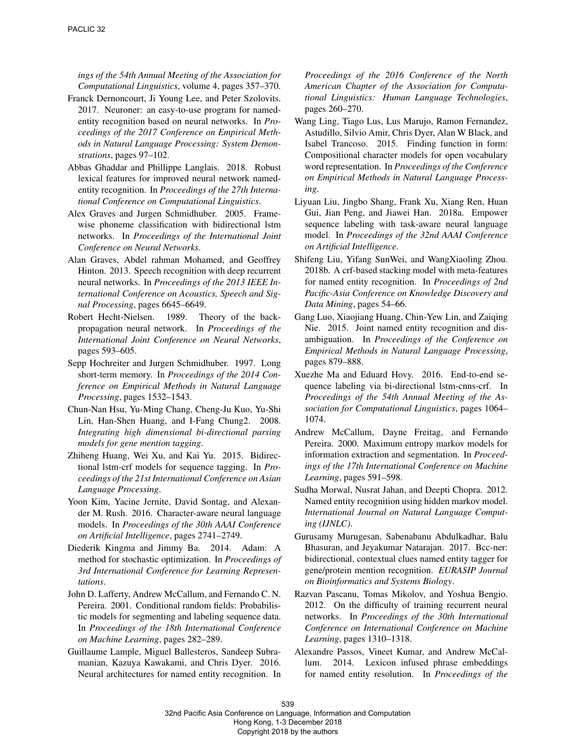*ings of the 54th Annual Meeting of the Association for Computational Linguistics*, volume 4, pages 357–370.

- Franck Dernoncourt, Ji Young Lee, and Peter Szolovits. 2017. Neuroner: an easy-to-use program for namedentity recognition based on neural networks. In *Proceedings of the 2017 Conference on Empirical Methods in Natural Language Processing: System Demonstrations*, pages 97–102.
- Abbas Ghaddar and Phillippe Langlais. 2018. Robust lexical features for improved neural network namedentity recognition. In *Proceedings of the 27th International Conference on Computational Linguistics*.
- Alex Graves and Jurgen Schmidhuber. 2005. Framewise phoneme classification with bidirectional lstm networks. In *Proceedings of the International Joint Conference on Neural Networks*.
- Alan Graves, Abdel rahman Mohamed, and Geoffrey Hinton. 2013. Speech recognition with deep recurrent neural networks. In *Proceedings of the 2013 IEEE International Conference on Acoustics, Speech and Signal Processing*, pages 6645–6649.
- Robert Hecht-Nielsen. 1989. Theory of the backpropagation neural network. In *Proceedings of the International Joint Conference on Neural Networks*, pages 593–605.
- Sepp Hochreiter and Jurgen Schmidhuber. 1997. Long short-term memory. In *Proceedings of the 2014 Conference on Empirical Methods in Natural Language Processing*, pages 1532–1543.
- Chun-Nan Hsu, Yu-Ming Chang, Cheng-Ju Kuo, Yu-Shi Lin, Han-Shen Huang, and I-Fang Chung2. 2008. *Integrating high dimensional bi-directional parsing models for gene mention tagging*.
- Zhiheng Huang, Wei Xu, and Kai Yu. 2015. Bidirectional lstm-crf models for sequence tagging. In *Proceedings of the 21st International Conference on Asian Language Processing*.
- Yoon Kim, Yacine Jernite, David Sontag, and Alexander M. Rush. 2016. Character-aware neural language models. In *Proceedings of the 30th AAAI Conference on Artificial Intelligence*, pages 2741–2749.
- Diederik Kingma and Jimmy Ba. 2014. Adam: A method for stochastic optimization. In *Proceedings of 3rd International Conference for Learning Representations*.
- John D. Lafferty, Andrew McCallum, and Fernando C. N. Pereira. 2001. Conditional random fields: Probabilistic models for segmenting and labeling sequence data. In *Proceedings of the 18th International Conference on Machine Learning*, pages 282–289.
- Guillaume Lample, Miguel Ballesteros, Sandeep Subramanian, Kazuya Kawakami, and Chris Dyer. 2016. Neural architectures for named entity recognition. In

*Proceedings of the 2016 Conference of the North American Chapter of the Association for Computational Linguistics: Human Language Technologies*, pages 260–270.

- Wang Ling, Tiago Lus, Lus Marujo, Ramon Fernandez, Astudillo, Silvio Amir, Chris Dyer, Alan W Black, and Isabel Trancoso. 2015. Finding function in form: Compositional character models for open vocabulary word representation. In *Proceedings of the Conference on Empirical Methods in Natural Language Processing*.
- Liyuan Liu, Jingbo Shang, Frank Xu, Xiang Ren, Huan Gui, Jian Peng, and Jiawei Han. 2018a. Empower sequence labeling with task-aware neural language model. In *Proceedings of the 32nd AAAI Conference on Artificial Intelligence*.
- Shifeng Liu, Yifang SunWei, and WangXiaoling Zhou. 2018b. A crf-based stacking model with meta-features for named entity recognition. In *Proceedings of 2nd Pacific-Asia Conference on Knowledge Discovery and Data Mining*, pages 54–66.
- Gang Luo, Xiaojiang Huang, Chin-Yew Lin, and Zaiqing Nie. 2015. Joint named entity recognition and disambiguation. In *Proceedings of the Conference on Empirical Methods in Natural Language Processing*, pages 879–888.
- Xuezhe Ma and Eduard Hovy. 2016. End-to-end sequence labeling via bi-directional lstm-cnns-crf. In *Proceedings of the 54th Annual Meeting of the Association for Computational Linguistics*, pages 1064– 1074.
- Andrew McCallum, Dayne Freitag, and Fernando Pereira. 2000. Maximum entropy markov models for information extraction and segmentation. In *Proceedings of the 17th International Conference on Machine Learning*, pages 591–598.
- Sudha Morwal, Nusrat Jahan, and Deepti Chopra. 2012. Named entity recognition using hidden markov model. *International Journal on Natural Language Computing (IJNLC)*.
- Gurusamy Murugesan, Sabenabanu Abdulkadhar, Balu Bhasuran, and Jeyakumar Natarajan. 2017. Bcc-ner: bidirectional, contextual clues named entity tagger for gene/protein mention recognition. *EURASIP Journal on Bioinformatics and Systems Biology*.
- Razvan Pascanu, Tomas Mikolov, and Yoshua Bengio. 2012. On the difficulty of training recurrent neural networks. In *Proceedings of the 30th International Conference on International Conference on Machine Learning*, pages 1310–1318.
- Alexandre Passos, Vineet Kumar, and Andrew McCallum. 2014. Lexicon infused phrase embeddings for named entity resolution. In *Proceedings of the*